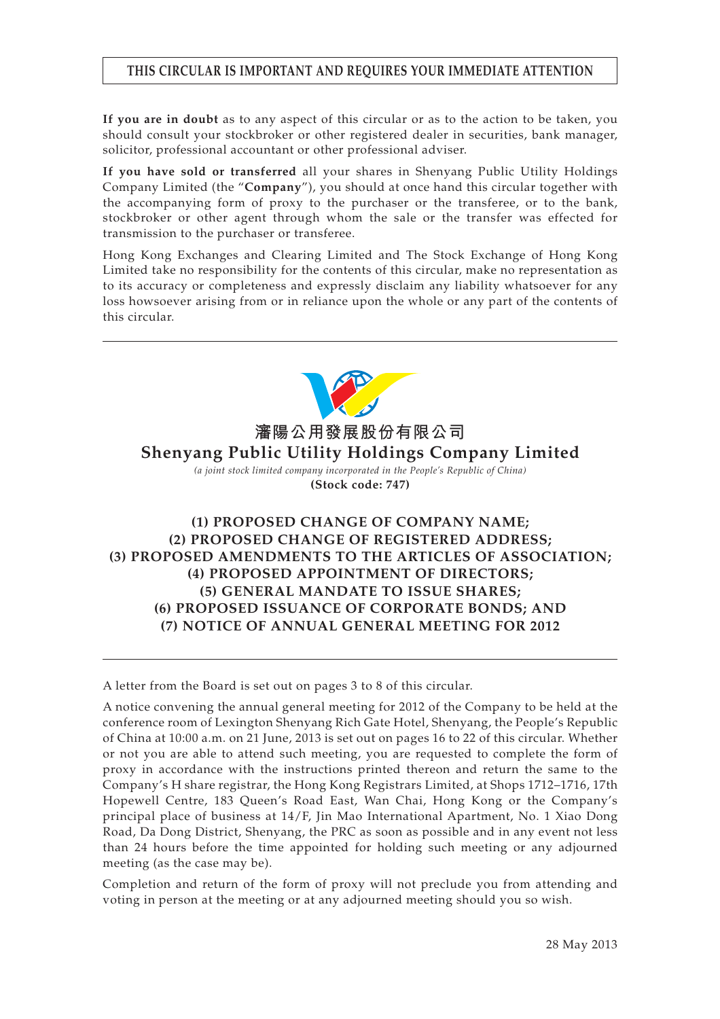## **THIS CIRCULAR IS IMPORTANT AND REQUIRES YOUR IMMEDIATE ATTENTION**

**If you are in doubt** as to any aspect of this circular or as to the action to be taken, you should consult your stockbroker or other registered dealer in securities, bank manager, solicitor, professional accountant or other professional adviser.

**If you have sold or transferred** all your shares in Shenyang Public Utility Holdings Company Limited (the "**Company**"), you should at once hand this circular together with the accompanying form of proxy to the purchaser or the transferee, or to the bank, stockbroker or other agent through whom the sale or the transfer was effected for transmission to the purchaser or transferee.

Hong Kong Exchanges and Clearing Limited and The Stock Exchange of Hong Kong Limited take no responsibility for the contents of this circular, make no representation as to its accuracy or completeness and expressly disclaim any liability whatsoever for any loss howsoever arising from or in reliance upon the whole or any part of the contents of this circular.



**瀋陽公用發展股份有限公司 Shenyang Public Utility Holdings Company Limited**

> *(a joint stock limited company incorporated in the People's Republic of China)* **(Stock code: 747)**

# **(1) PROPOSED CHANGE OF COMPANY NAME; (2) PROPOSED CHANGE OF REGISTERED ADDRESS; (3) PROPOSED AMENDMENTS TO THE ARTICLES OF ASSOCIATION; (4) PROPOSED APPOINTMENT OF DIRECTORS; (5) GENERAL MANDATE TO ISSUE SHARES; (6) PROPOSED ISSUANCE OF CORPORATE BONDS; AND (7) NOTICE OF ANNUAL GENERAL MEETING FOR 2012**

A letter from the Board is set out on pages 3 to 8 of this circular.

A notice convening the annual general meeting for 2012 of the Company to be held at the conference room of Lexington Shenyang Rich Gate Hotel, Shenyang, the People's Republic of China at 10:00 a.m. on 21 June, 2013 is set out on pages 16 to 22 of this circular. Whether or not you are able to attend such meeting, you are requested to complete the form of proxy in accordance with the instructions printed thereon and return the same to the Company's H share registrar, the Hong Kong Registrars Limited, at Shops 1712–1716, 17th Hopewell Centre, 183 Queen's Road East, Wan Chai, Hong Kong or the Company's principal place of business at 14/F, Jin Mao International Apartment, No. 1 Xiao Dong Road, Da Dong District, Shenyang, the PRC as soon as possible and in any event not less than 24 hours before the time appointed for holding such meeting or any adjourned meeting (as the case may be).

Completion and return of the form of proxy will not preclude you from attending and voting in person at the meeting or at any adjourned meeting should you so wish.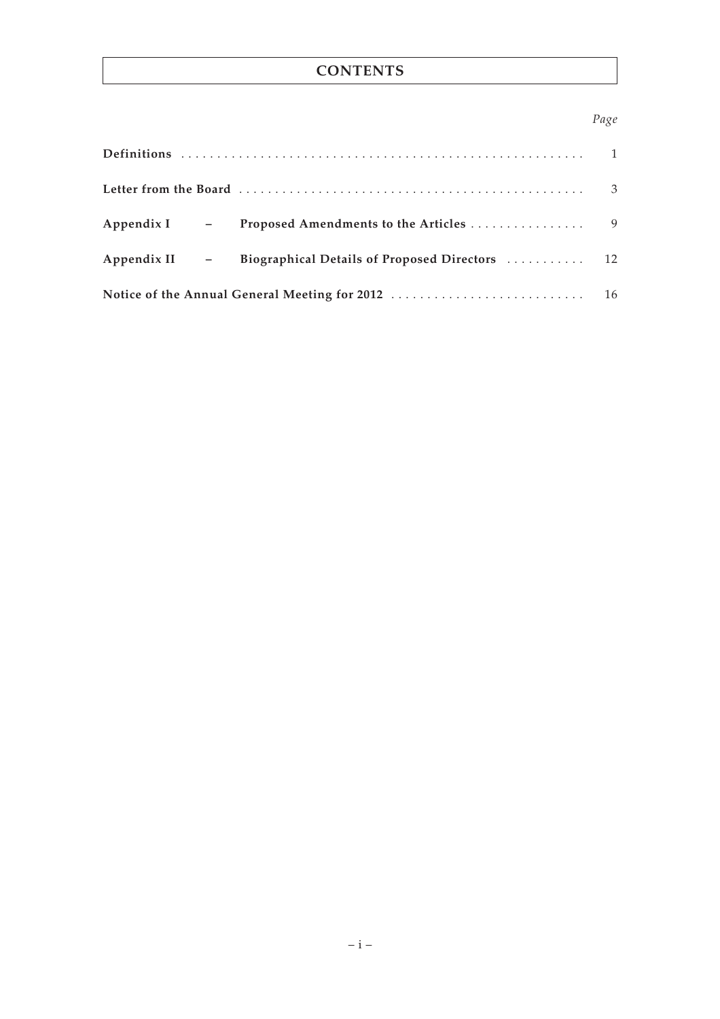# **CONTENTS**

## *Page*

|                |  |                                                              | 3 |  |
|----------------|--|--------------------------------------------------------------|---|--|
| $Appendix I$ - |  |                                                              |   |  |
|                |  | Appendix II - Biographical Details of Proposed Directors  12 |   |  |
|                |  |                                                              |   |  |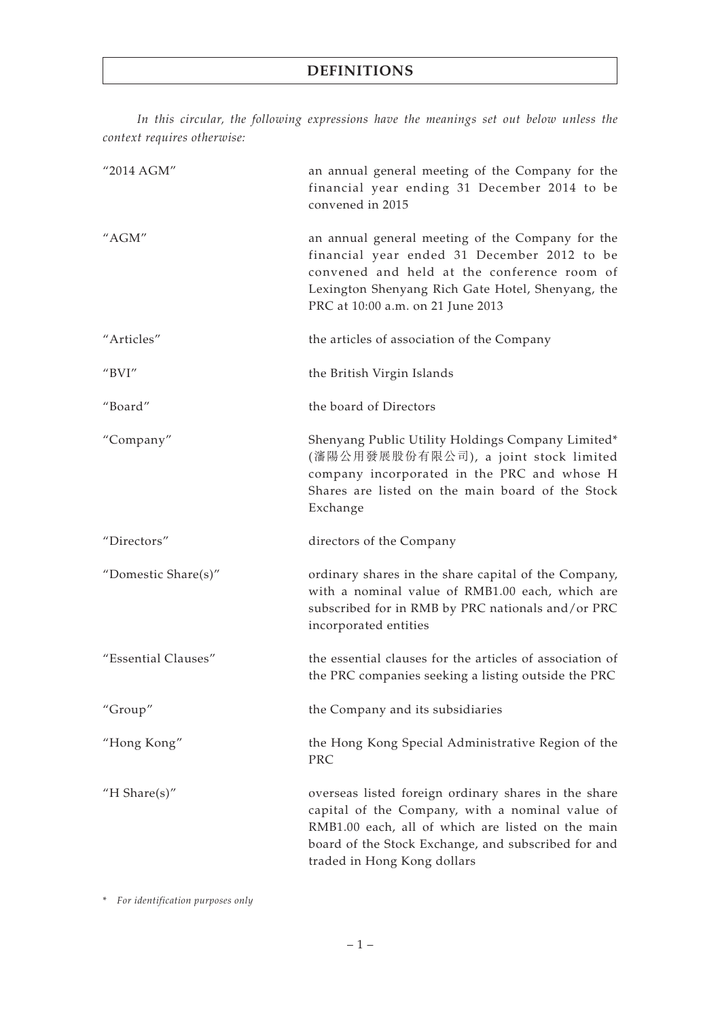*In this circular, the following expressions have the meanings set out below unless the context requires otherwise:*

| "2014 AGM"                              | an annual general meeting of the Company for the<br>financial year ending 31 December 2014 to be<br>convened in 2015                                                                                                                               |
|-----------------------------------------|----------------------------------------------------------------------------------------------------------------------------------------------------------------------------------------------------------------------------------------------------|
| "AGM"                                   | an annual general meeting of the Company for the<br>financial year ended 31 December 2012 to be<br>convened and held at the conference room of<br>Lexington Shenyang Rich Gate Hotel, Shenyang, the<br>PRC at 10:00 a.m. on 21 June 2013           |
| "Articles"                              | the articles of association of the Company                                                                                                                                                                                                         |
| $^{\prime\prime}$ BVI $^{\prime\prime}$ | the British Virgin Islands                                                                                                                                                                                                                         |
| "Board"                                 | the board of Directors                                                                                                                                                                                                                             |
| "Company"                               | Shenyang Public Utility Holdings Company Limited*<br>(瀋陽公用發展股份有限公司), a joint stock limited<br>company incorporated in the PRC and whose H<br>Shares are listed on the main board of the Stock<br>Exchange                                          |
| "Directors"                             | directors of the Company                                                                                                                                                                                                                           |
| "Domestic Share(s)"                     | ordinary shares in the share capital of the Company,<br>with a nominal value of RMB1.00 each, which are<br>subscribed for in RMB by PRC nationals and/or PRC<br>incorporated entities                                                              |
| "Essential Clauses"                     | the essential clauses for the articles of association of<br>the PRC companies seeking a listing outside the PRC                                                                                                                                    |
| "Group"                                 | the Company and its subsidiaries                                                                                                                                                                                                                   |
| "Hong Kong"                             | the Hong Kong Special Administrative Region of the<br>PRC                                                                                                                                                                                          |
| "H Share $(s)$ "                        | overseas listed foreign ordinary shares in the share<br>capital of the Company, with a nominal value of<br>RMB1.00 each, all of which are listed on the main<br>board of the Stock Exchange, and subscribed for and<br>traded in Hong Kong dollars |

\* *For identification purposes only*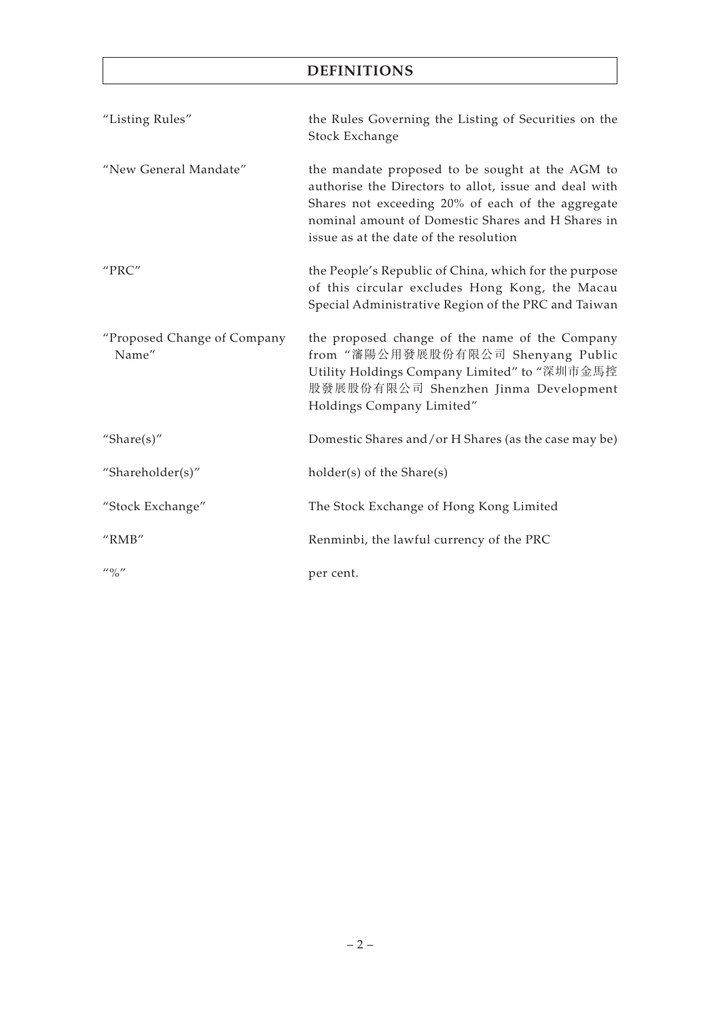# **DEFINITIONS**

| "Listing Rules"                         | the Rules Governing the Listing of Securities on the<br>Stock Exchange                                                                                                                                                                                       |
|-----------------------------------------|--------------------------------------------------------------------------------------------------------------------------------------------------------------------------------------------------------------------------------------------------------------|
| "New General Mandate"                   | the mandate proposed to be sought at the AGM to<br>authorise the Directors to allot, issue and deal with<br>Shares not exceeding 20% of each of the aggregate<br>nominal amount of Domestic Shares and H Shares in<br>issue as at the date of the resolution |
| "PRC"                                   | the People's Republic of China, which for the purpose<br>of this circular excludes Hong Kong, the Macau<br>Special Administrative Region of the PRC and Taiwan                                                                                               |
| "Proposed Change of Company<br>Name"    | the proposed change of the name of the Company<br>from "瀋陽公用發展股份有限公司 Shenyang Public<br>Utility Holdings Company Limited" to "深圳市金馬控<br>股發展股份有限公司 Shenzhen Jinma Development<br>Holdings Company Limited"                                                    |
| "Share $(s)$ "                          | Domestic Shares and/or H Shares (as the case may be)                                                                                                                                                                                                         |
| "Shareholder(s)"                        | holder(s) of the Share(s)                                                                                                                                                                                                                                    |
| "Stock Exchange"                        | The Stock Exchange of Hong Kong Limited                                                                                                                                                                                                                      |
| $^{\prime\prime}$ RMB $^{\prime\prime}$ | Renminbi, the lawful currency of the PRC                                                                                                                                                                                                                     |
| $^{\prime\prime}$ % $^{\prime\prime}$   | per cent.                                                                                                                                                                                                                                                    |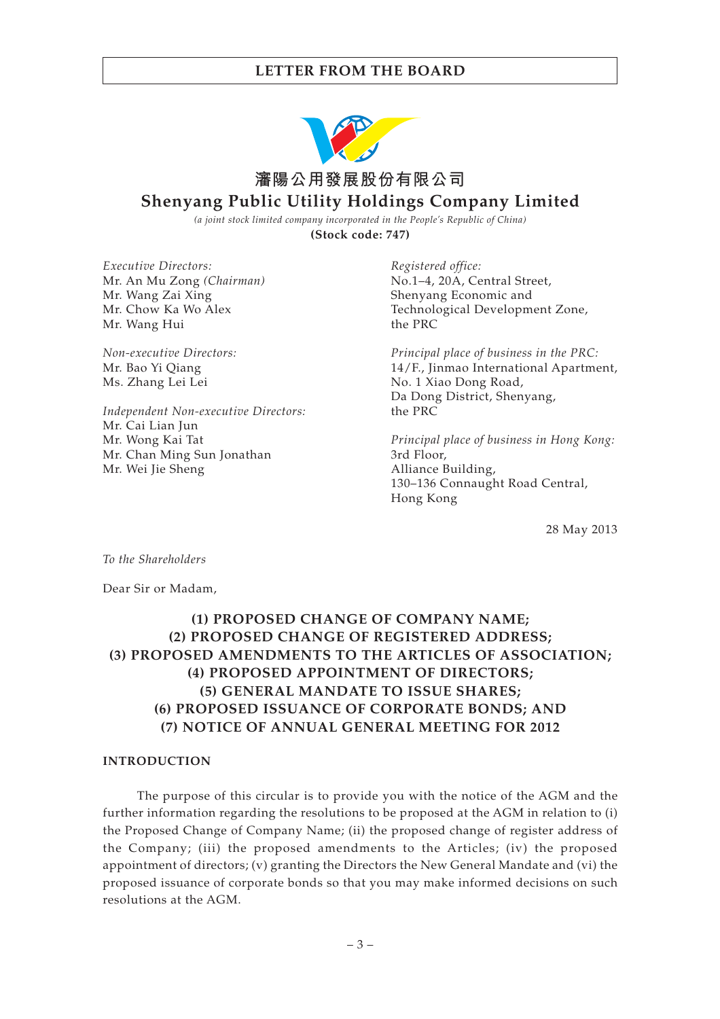

*(a joint stock limited company incorporated in the People's Republic of China)* **(Stock code: 747)**

*Executive Directors:* Mr. An Mu Zong *(Chairman)* Mr. Wang Zai Xing Mr. Chow Ka Wo Alex Mr. Wang Hui

*Non-executive Directors:* Mr. Bao Yi Qiang Ms. Zhang Lei Lei

*Independent Non-executive Directors:* Mr. Cai Lian Jun Mr. Wong Kai Tat Mr. Chan Ming Sun Jonathan Mr. Wei Jie Sheng

*Registered office:* No.1–4, 20A, Central Street, Shenyang Economic and Technological Development Zone, the PRC

*Principal place of business in the PRC:* 14/F., Jinmao International Apartment, No. 1 Xiao Dong Road, Da Dong District, Shenyang, the PRC

*Principal place of business in Hong Kong:* 3rd Floor, Alliance Building, 130–136 Connaught Road Central, Hong Kong

28 May 2013

*To the Shareholders*

Dear Sir or Madam,

# **(1) PROPOSED CHANGE OF COMPANY NAME; (2) PROPOSED CHANGE OF REGISTERED ADDRESS; (3) PROPOSED AMENDMENTS TO THE ARTICLES OF ASSOCIATION; (4) PROPOSED APPOINTMENT OF DIRECTORS; (5) GENERAL MANDATE TO ISSUE SHARES; (6) PROPOSED ISSUANCE OF CORPORATE BONDS; AND (7) NOTICE OF ANNUAL GENERAL MEETING FOR 2012**

#### **INTRODUCTION**

The purpose of this circular is to provide you with the notice of the AGM and the further information regarding the resolutions to be proposed at the AGM in relation to (i) the Proposed Change of Company Name; (ii) the proposed change of register address of the Company; (iii) the proposed amendments to the Articles; (iv) the proposed appointment of directors; (v) granting the Directors the New General Mandate and (vi) the proposed issuance of corporate bonds so that you may make informed decisions on such resolutions at the AGM.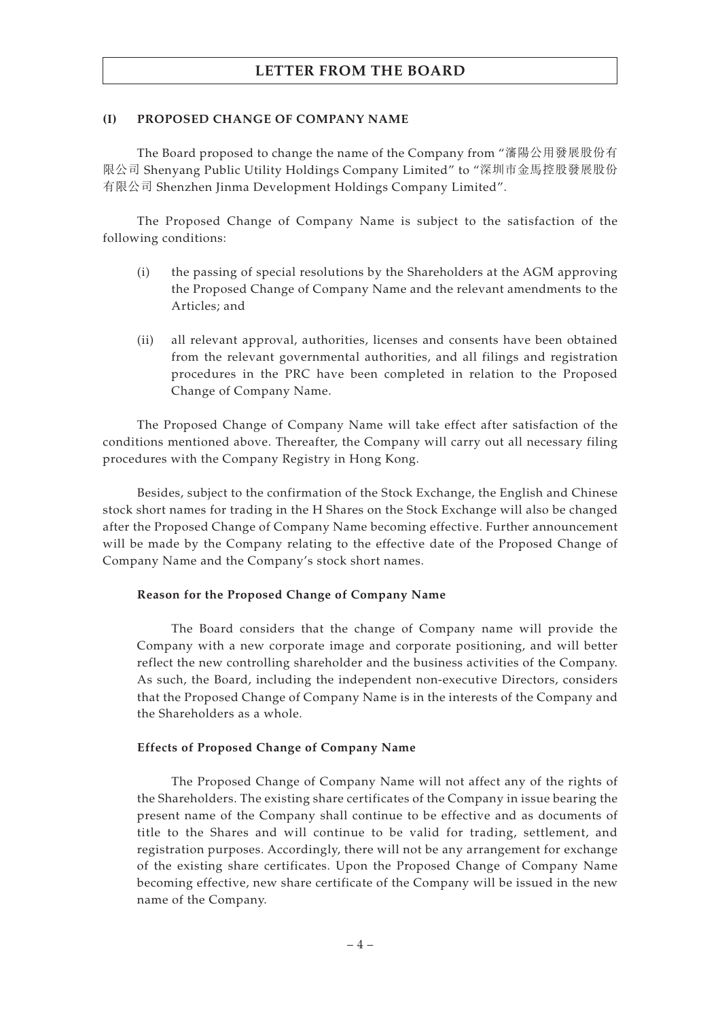### **(I) PROPOSED CHANGE OF COMPANY NAME**

The Board proposed to change the name of the Company from "瀋陽公用發展股份有 限公司 Shenyang Public Utility Holdings Company Limited" to "深圳市金馬控股發展股份 有限公司 Shenzhen Jinma Development Holdings Company Limited".

The Proposed Change of Company Name is subject to the satisfaction of the following conditions:

- (i) the passing of special resolutions by the Shareholders at the AGM approving the Proposed Change of Company Name and the relevant amendments to the Articles; and
- (ii) all relevant approval, authorities, licenses and consents have been obtained from the relevant governmental authorities, and all filings and registration procedures in the PRC have been completed in relation to the Proposed Change of Company Name.

The Proposed Change of Company Name will take effect after satisfaction of the conditions mentioned above. Thereafter, the Company will carry out all necessary filing procedures with the Company Registry in Hong Kong.

Besides, subject to the confirmation of the Stock Exchange, the English and Chinese stock short names for trading in the H Shares on the Stock Exchange will also be changed after the Proposed Change of Company Name becoming effective. Further announcement will be made by the Company relating to the effective date of the Proposed Change of Company Name and the Company's stock short names.

#### **Reason for the Proposed Change of Company Name**

The Board considers that the change of Company name will provide the Company with a new corporate image and corporate positioning, and will better reflect the new controlling shareholder and the business activities of the Company. As such, the Board, including the independent non-executive Directors, considers that the Proposed Change of Company Name is in the interests of the Company and the Shareholders as a whole.

#### **Effects of Proposed Change of Company Name**

The Proposed Change of Company Name will not affect any of the rights of the Shareholders. The existing share certificates of the Company in issue bearing the present name of the Company shall continue to be effective and as documents of title to the Shares and will continue to be valid for trading, settlement, and registration purposes. Accordingly, there will not be any arrangement for exchange of the existing share certificates. Upon the Proposed Change of Company Name becoming effective, new share certificate of the Company will be issued in the new name of the Company.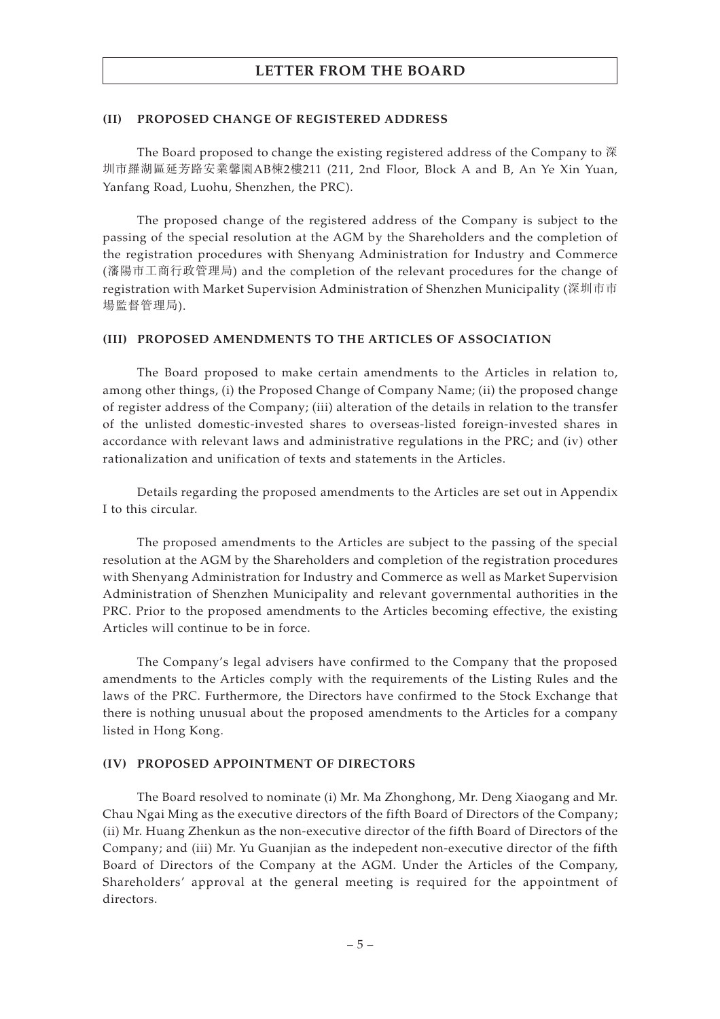#### **(II) PROPOSED CHANGE OF REGISTERED ADDRESS**

The Board proposed to change the existing registered address of the Company to 深 圳市羅湖區延芳路安業馨園AB棟2樓211 (211, 2nd Floor, Block A and B, An Ye Xin Yuan, Yanfang Road, Luohu, Shenzhen, the PRC).

The proposed change of the registered address of the Company is subject to the passing of the special resolution at the AGM by the Shareholders and the completion of the registration procedures with Shenyang Administration for Industry and Commerce (瀋陽市工商行政管理局) and the completion of the relevant procedures for the change of registration with Market Supervision Administration of Shenzhen Municipality (深圳市市 場監督管理局).

#### **(III) PROPOSED AMENDMENTS TO THE ARTICLES OF ASSOCIATION**

The Board proposed to make certain amendments to the Articles in relation to, among other things, (i) the Proposed Change of Company Name; (ii) the proposed change of register address of the Company; (iii) alteration of the details in relation to the transfer of the unlisted domestic-invested shares to overseas-listed foreign-invested shares in accordance with relevant laws and administrative regulations in the PRC; and (iv) other rationalization and unification of texts and statements in the Articles.

Details regarding the proposed amendments to the Articles are set out in Appendix I to this circular.

The proposed amendments to the Articles are subject to the passing of the special resolution at the AGM by the Shareholders and completion of the registration procedures with Shenyang Administration for Industry and Commerce as well as Market Supervision Administration of Shenzhen Municipality and relevant governmental authorities in the PRC. Prior to the proposed amendments to the Articles becoming effective, the existing Articles will continue to be in force.

The Company's legal advisers have confirmed to the Company that the proposed amendments to the Articles comply with the requirements of the Listing Rules and the laws of the PRC. Furthermore, the Directors have confirmed to the Stock Exchange that there is nothing unusual about the proposed amendments to the Articles for a company listed in Hong Kong.

#### **(IV) PROPOSED APPOINTMENT OF DIRECTORS**

The Board resolved to nominate (i) Mr. Ma Zhonghong, Mr. Deng Xiaogang and Mr. Chau Ngai Ming as the executive directors of the fifth Board of Directors of the Company; (ii) Mr. Huang Zhenkun as the non-executive director of the fifth Board of Directors of the Company; and (iii) Mr. Yu Guanjian as the indepedent non-executive director of the fifth Board of Directors of the Company at the AGM. Under the Articles of the Company, Shareholders' approval at the general meeting is required for the appointment of directors.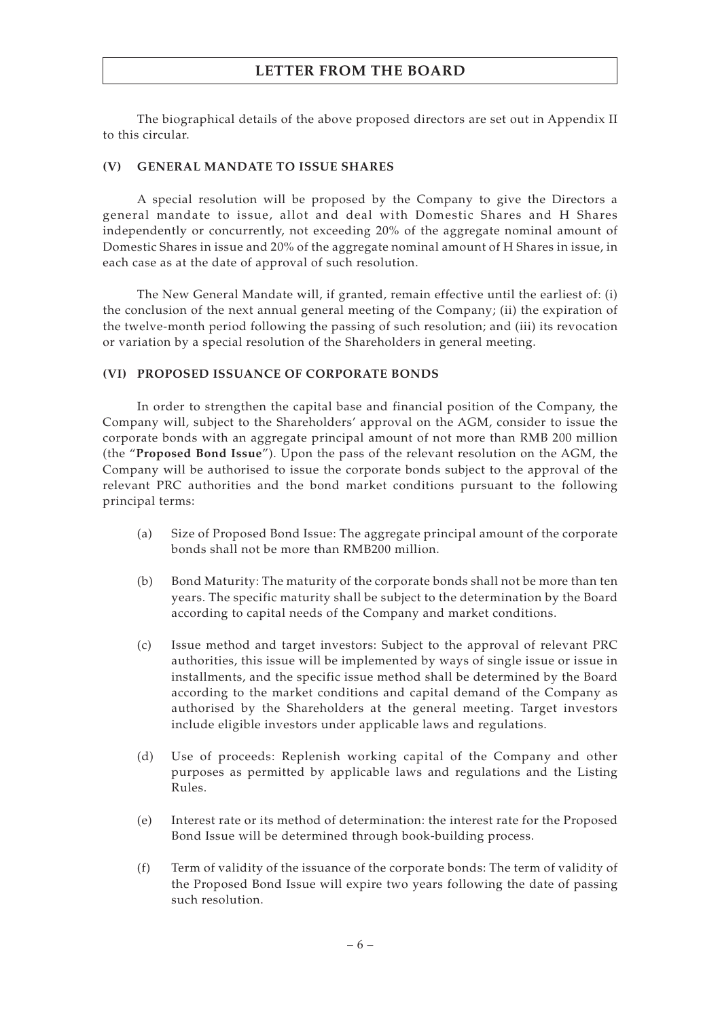The biographical details of the above proposed directors are set out in Appendix II to this circular.

### **(V) GENERAL MANDATE TO ISSUE SHARES**

A special resolution will be proposed by the Company to give the Directors a general mandate to issue, allot and deal with Domestic Shares and H Shares independently or concurrently, not exceeding 20% of the aggregate nominal amount of Domestic Shares in issue and 20% of the aggregate nominal amount of H Shares in issue, in each case as at the date of approval of such resolution.

The New General Mandate will, if granted, remain effective until the earliest of: (i) the conclusion of the next annual general meeting of the Company; (ii) the expiration of the twelve-month period following the passing of such resolution; and (iii) its revocation or variation by a special resolution of the Shareholders in general meeting.

### **(VI) PROPOSED ISSUANCE OF CORPORATE BONDS**

In order to strengthen the capital base and financial position of the Company, the Company will, subject to the Shareholders' approval on the AGM, consider to issue the corporate bonds with an aggregate principal amount of not more than RMB 200 million (the "**Proposed Bond Issue**"). Upon the pass of the relevant resolution on the AGM, the Company will be authorised to issue the corporate bonds subject to the approval of the relevant PRC authorities and the bond market conditions pursuant to the following principal terms:

- (a) Size of Proposed Bond Issue: The aggregate principal amount of the corporate bonds shall not be more than RMB200 million.
- (b) Bond Maturity: The maturity of the corporate bonds shall not be more than ten years. The specific maturity shall be subject to the determination by the Board according to capital needs of the Company and market conditions.
- (c) Issue method and target investors: Subject to the approval of relevant PRC authorities, this issue will be implemented by ways of single issue or issue in installments, and the specific issue method shall be determined by the Board according to the market conditions and capital demand of the Company as authorised by the Shareholders at the general meeting. Target investors include eligible investors under applicable laws and regulations.
- (d) Use of proceeds: Replenish working capital of the Company and other purposes as permitted by applicable laws and regulations and the Listing Rules.
- (e) Interest rate or its method of determination: the interest rate for the Proposed Bond Issue will be determined through book-building process.
- (f) Term of validity of the issuance of the corporate bonds: The term of validity of the Proposed Bond Issue will expire two years following the date of passing such resolution.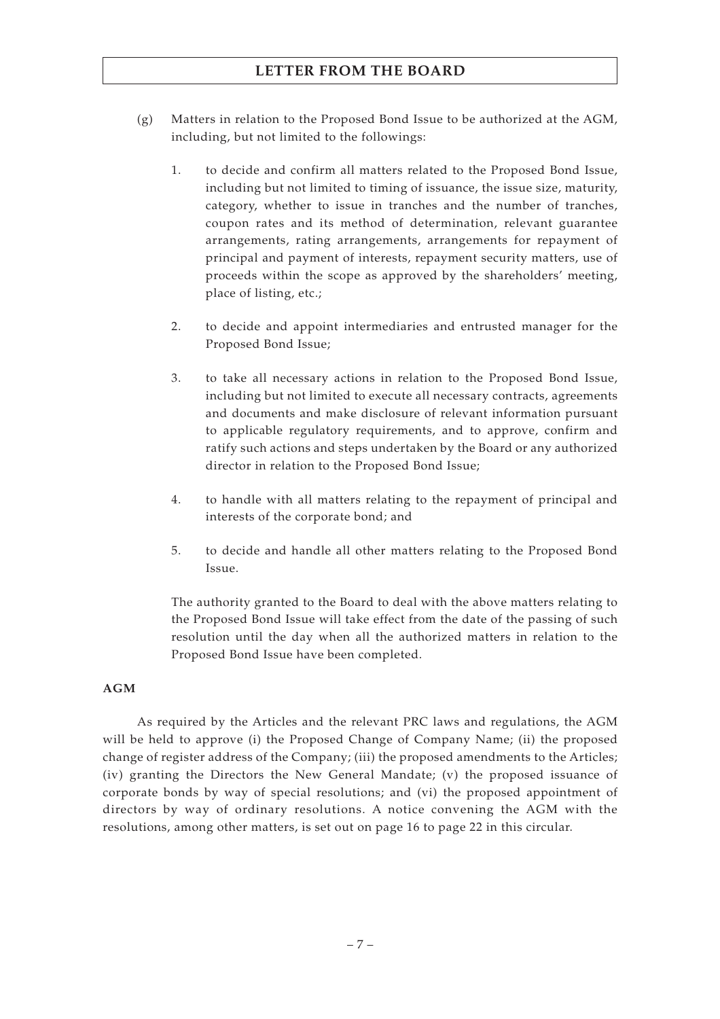- (g) Matters in relation to the Proposed Bond Issue to be authorized at the AGM, including, but not limited to the followings:
	- 1. to decide and confirm all matters related to the Proposed Bond Issue, including but not limited to timing of issuance, the issue size, maturity, category, whether to issue in tranches and the number of tranches, coupon rates and its method of determination, relevant guarantee arrangements, rating arrangements, arrangements for repayment of principal and payment of interests, repayment security matters, use of proceeds within the scope as approved by the shareholders' meeting, place of listing, etc.;
	- 2. to decide and appoint intermediaries and entrusted manager for the Proposed Bond Issue;
	- 3. to take all necessary actions in relation to the Proposed Bond Issue, including but not limited to execute all necessary contracts, agreements and documents and make disclosure of relevant information pursuant to applicable regulatory requirements, and to approve, confirm and ratify such actions and steps undertaken by the Board or any authorized director in relation to the Proposed Bond Issue;
	- 4. to handle with all matters relating to the repayment of principal and interests of the corporate bond; and
	- 5. to decide and handle all other matters relating to the Proposed Bond Issue.

The authority granted to the Board to deal with the above matters relating to the Proposed Bond Issue will take effect from the date of the passing of such resolution until the day when all the authorized matters in relation to the Proposed Bond Issue have been completed.

### **AGM**

As required by the Articles and the relevant PRC laws and regulations, the AGM will be held to approve (i) the Proposed Change of Company Name; (ii) the proposed change of register address of the Company; (iii) the proposed amendments to the Articles; (iv) granting the Directors the New General Mandate; (v) the proposed issuance of corporate bonds by way of special resolutions; and (vi) the proposed appointment of directors by way of ordinary resolutions. A notice convening the AGM with the resolutions, among other matters, is set out on page 16 to page 22 in this circular.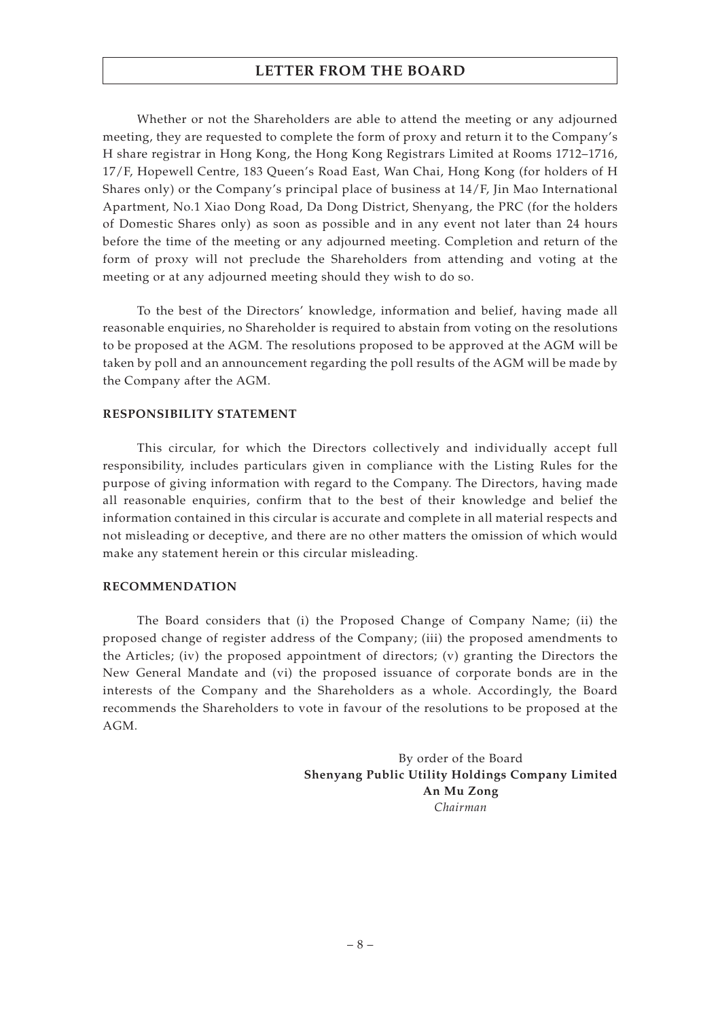Whether or not the Shareholders are able to attend the meeting or any adjourned meeting, they are requested to complete the form of proxy and return it to the Company's H share registrar in Hong Kong, the Hong Kong Registrars Limited at Rooms 1712–1716, 17/F, Hopewell Centre, 183 Queen's Road East, Wan Chai, Hong Kong (for holders of H Shares only) or the Company's principal place of business at 14/F, Jin Mao International Apartment, No.1 Xiao Dong Road, Da Dong District, Shenyang, the PRC (for the holders of Domestic Shares only) as soon as possible and in any event not later than 24 hours before the time of the meeting or any adjourned meeting. Completion and return of the form of proxy will not preclude the Shareholders from attending and voting at the meeting or at any adjourned meeting should they wish to do so.

To the best of the Directors' knowledge, information and belief, having made all reasonable enquiries, no Shareholder is required to abstain from voting on the resolutions to be proposed at the AGM. The resolutions proposed to be approved at the AGM will be taken by poll and an announcement regarding the poll results of the AGM will be made by the Company after the AGM.

#### **RESPONSIBILITY STATEMENT**

This circular, for which the Directors collectively and individually accept full responsibility, includes particulars given in compliance with the Listing Rules for the purpose of giving information with regard to the Company. The Directors, having made all reasonable enquiries, confirm that to the best of their knowledge and belief the information contained in this circular is accurate and complete in all material respects and not misleading or deceptive, and there are no other matters the omission of which would make any statement herein or this circular misleading.

#### **RECOMMENDATION**

The Board considers that (i) the Proposed Change of Company Name; (ii) the proposed change of register address of the Company; (iii) the proposed amendments to the Articles; (iv) the proposed appointment of directors; (v) granting the Directors the New General Mandate and (vi) the proposed issuance of corporate bonds are in the interests of the Company and the Shareholders as a whole. Accordingly, the Board recommends the Shareholders to vote in favour of the resolutions to be proposed at the AGM.

> By order of the Board **Shenyang Public Utility Holdings Company Limited An Mu Zong** *Chairman*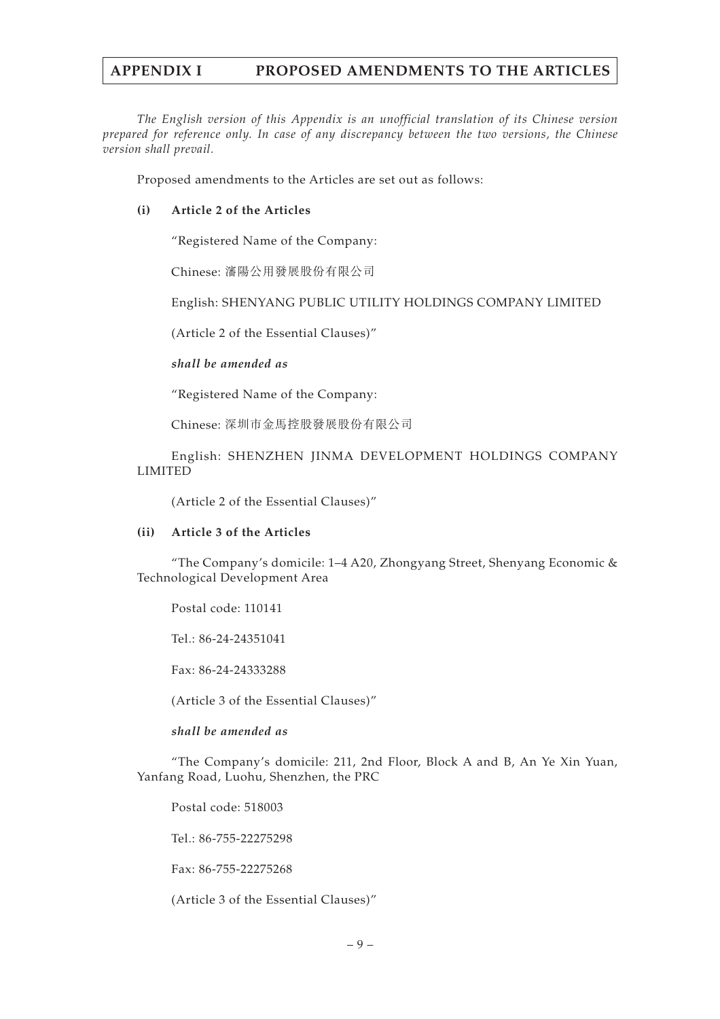## **APPENDIX I PROPOSED AMENDMENTS TO THE ARTICLES**

*The English version of this Appendix is an unofficial translation of its Chinese version prepared for reference only. In case of any discrepancy between the two versions, the Chinese version shall prevail.*

Proposed amendments to the Articles are set out as follows:

### **(i) Article 2 of the Articles**

"Registered Name of the Company:

Chinese: 瀋陽公用發展股份有限公司

English: SHENYANG PUBLIC UTILITY HOLDINGS COMPANY LIMITED

(Article 2 of the Essential Clauses)"

### *shall be amended as*

"Registered Name of the Company:

Chinese: 深圳市金馬控股發展股份有限公司

English: SHENZHEN JINMA DEVELOPMENT HOLDINGS COMPANY LIMITED

(Article 2 of the Essential Clauses)"

#### **(ii) Article 3 of the Articles**

"The Company's domicile:  $1-4$  A20, Zhongyang Street, Shenyang Economic & Technological Development Area

Postal code: 110141

Tel.: 86-24-24351041

Fax: 86-24-24333288

(Article 3 of the Essential Clauses)"

*shall be amended as*

"The Company's domicile: 211, 2nd Floor, Block A and B, An Ye Xin Yuan, Yanfang Road, Luohu, Shenzhen, the PRC

Postal code: 518003

Tel.: 86-755-22275298

Fax: 86-755-22275268

(Article 3 of the Essential Clauses)"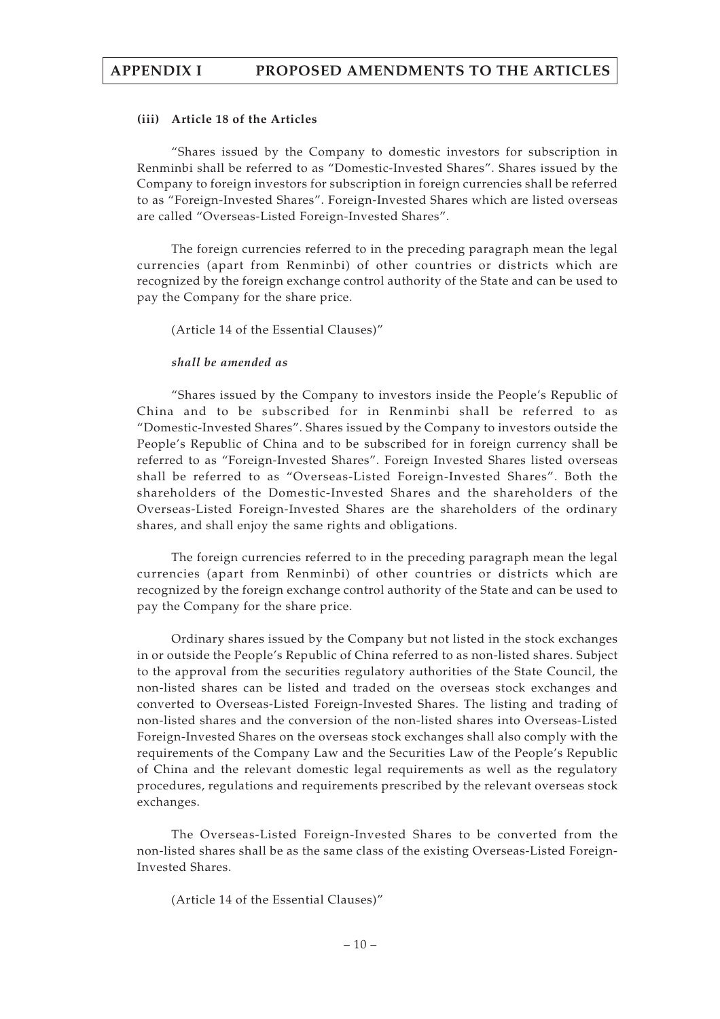### **(iii) Article 18 of the Articles**

"Shares issued by the Company to domestic investors for subscription in Renminbi shall be referred to as "Domestic-Invested Shares". Shares issued by the Company to foreign investors for subscription in foreign currencies shall be referred to as "Foreign-Invested Shares". Foreign-Invested Shares which are listed overseas are called "Overseas-Listed Foreign-Invested Shares".

The foreign currencies referred to in the preceding paragraph mean the legal currencies (apart from Renminbi) of other countries or districts which are recognized by the foreign exchange control authority of the State and can be used to pay the Company for the share price.

(Article 14 of the Essential Clauses)"

#### *shall be amended as*

"Shares issued by the Company to investors inside the People's Republic of China and to be subscribed for in Renminbi shall be referred to as "Domestic-Invested Shares". Shares issued by the Company to investors outside the People's Republic of China and to be subscribed for in foreign currency shall be referred to as "Foreign-Invested Shares". Foreign Invested Shares listed overseas shall be referred to as "Overseas-Listed Foreign-Invested Shares". Both the shareholders of the Domestic-Invested Shares and the shareholders of the Overseas-Listed Foreign-Invested Shares are the shareholders of the ordinary shares, and shall enjoy the same rights and obligations.

The foreign currencies referred to in the preceding paragraph mean the legal currencies (apart from Renminbi) of other countries or districts which are recognized by the foreign exchange control authority of the State and can be used to pay the Company for the share price.

Ordinary shares issued by the Company but not listed in the stock exchanges in or outside the People's Republic of China referred to as non-listed shares. Subject to the approval from the securities regulatory authorities of the State Council, the non-listed shares can be listed and traded on the overseas stock exchanges and converted to Overseas-Listed Foreign-Invested Shares. The listing and trading of non-listed shares and the conversion of the non-listed shares into Overseas-Listed Foreign-Invested Shares on the overseas stock exchanges shall also comply with the requirements of the Company Law and the Securities Law of the People's Republic of China and the relevant domestic legal requirements as well as the regulatory procedures, regulations and requirements prescribed by the relevant overseas stock exchanges.

The Overseas-Listed Foreign-Invested Shares to be converted from the non-listed shares shall be as the same class of the existing Overseas-Listed Foreign-Invested Shares.

(Article 14 of the Essential Clauses)"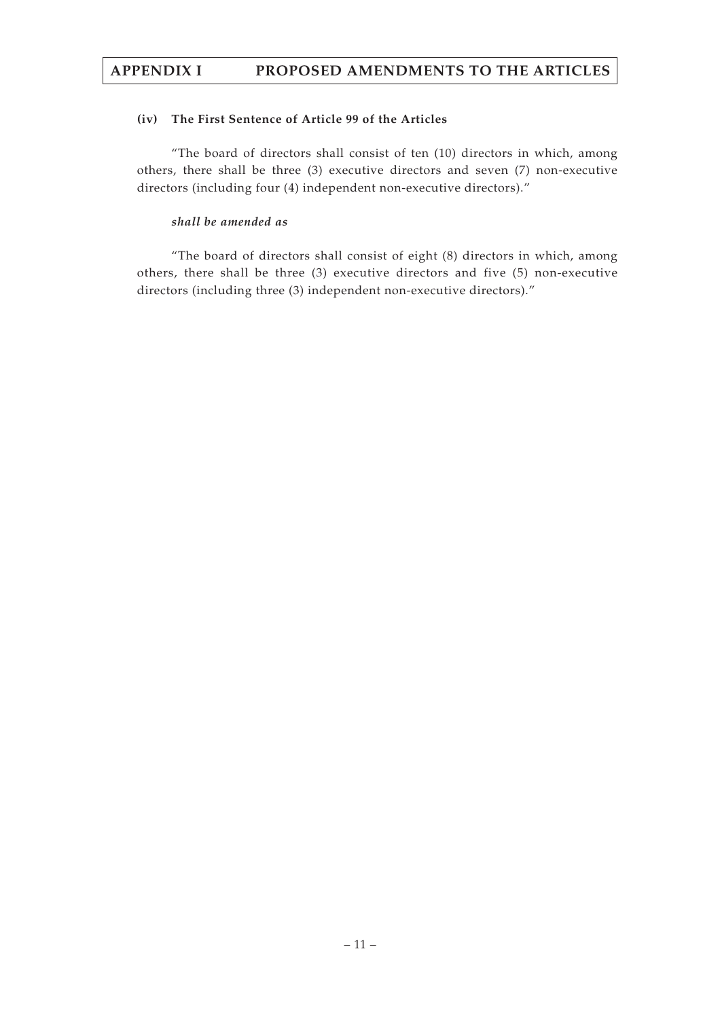## **APPENDIX I PROPOSED AMENDMENTS TO THE ARTICLES**

### **(iv) The First Sentence of Article 99 of the Articles**

"The board of directors shall consist of ten (10) directors in which, among others, there shall be three (3) executive directors and seven (7) non-executive directors (including four (4) independent non-executive directors)."

### *shall be amended as*

"The board of directors shall consist of eight (8) directors in which, among others, there shall be three (3) executive directors and five (5) non-executive directors (including three (3) independent non-executive directors)."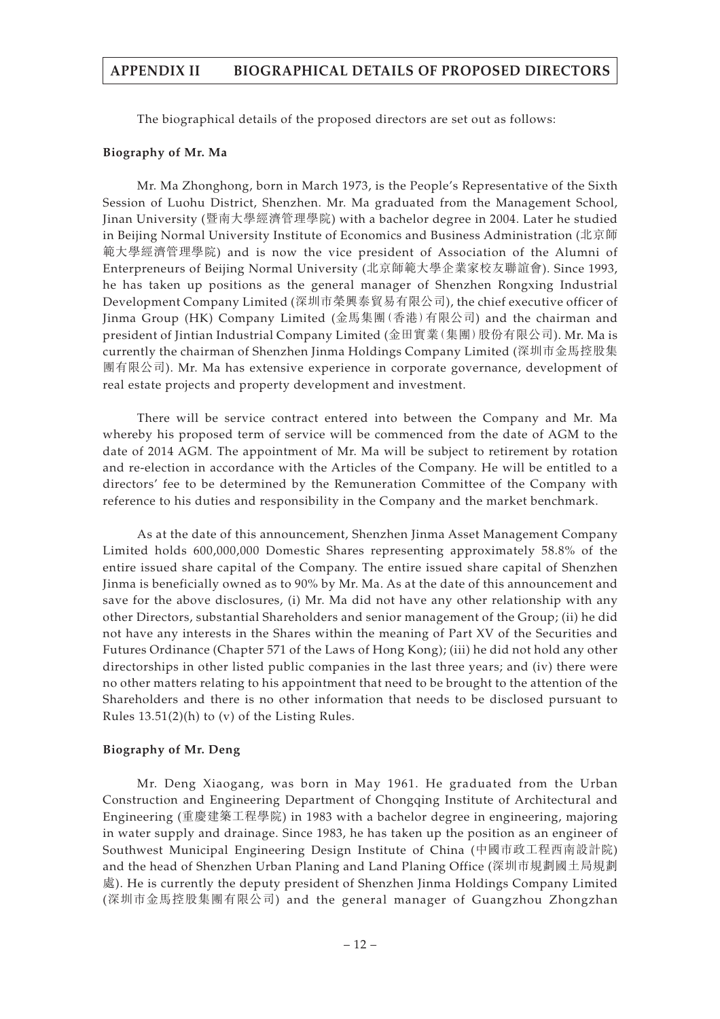The biographical details of the proposed directors are set out as follows:

#### **Biography of Mr. Ma**

Mr. Ma Zhonghong, born in March 1973, is the People's Representative of the Sixth Session of Luohu District, Shenzhen. Mr. Ma graduated from the Management School, Jinan University (暨南大學經濟管理學院) with a bachelor degree in 2004. Later he studied in Beijing Normal University Institute of Economics and Business Administration (北京師 範大學經濟管理學院) and is now the vice president of Association of the Alumni of Enterpreneurs of Beijing Normal University (北京師範大學企業家校友聯誼會). Since 1993, he has taken up positions as the general manager of Shenzhen Rongxing Industrial Development Company Limited (深圳市榮興泰貿易有限公司), the chief executive officer of Jinma Group (HK) Company Limited (金馬集團(香港)有限公司) and the chairman and president of Jintian Industrial Company Limited (金田實業(集團)股份有限公司). Mr. Ma is currently the chairman of Shenzhen Jinma Holdings Company Limited (深圳市金馬控股集 團有限公司). Mr. Ma has extensive experience in corporate governance, development of real estate projects and property development and investment.

There will be service contract entered into between the Company and Mr. Ma whereby his proposed term of service will be commenced from the date of AGM to the date of 2014 AGM. The appointment of Mr. Ma will be subject to retirement by rotation and re-election in accordance with the Articles of the Company. He will be entitled to a directors' fee to be determined by the Remuneration Committee of the Company with reference to his duties and responsibility in the Company and the market benchmark.

As at the date of this announcement, Shenzhen Jinma Asset Management Company Limited holds 600,000,000 Domestic Shares representing approximately 58.8% of the entire issued share capital of the Company. The entire issued share capital of Shenzhen Jinma is beneficially owned as to 90% by Mr. Ma. As at the date of this announcement and save for the above disclosures, (i) Mr. Ma did not have any other relationship with any other Directors, substantial Shareholders and senior management of the Group; (ii) he did not have any interests in the Shares within the meaning of Part XV of the Securities and Futures Ordinance (Chapter 571 of the Laws of Hong Kong); (iii) he did not hold any other directorships in other listed public companies in the last three years; and (iv) there were no other matters relating to his appointment that need to be brought to the attention of the Shareholders and there is no other information that needs to be disclosed pursuant to Rules 13.51(2)(h) to (v) of the Listing Rules.

#### **Biography of Mr. Deng**

Mr. Deng Xiaogang, was born in May 1961. He graduated from the Urban Construction and Engineering Department of Chongqing Institute of Architectural and Engineering (重慶建築工程學院) in 1983 with a bachelor degree in engineering, majoring in water supply and drainage. Since 1983, he has taken up the position as an engineer of Southwest Municipal Engineering Design Institute of China (中國市政工程西南設計院) and the head of Shenzhen Urban Planing and Land Planing Office (深圳市規劃國土局規劃 處). He is currently the deputy president of Shenzhen Jinma Holdings Company Limited (深圳市金馬控股集團有限公司) and the general manager of Guangzhou Zhongzhan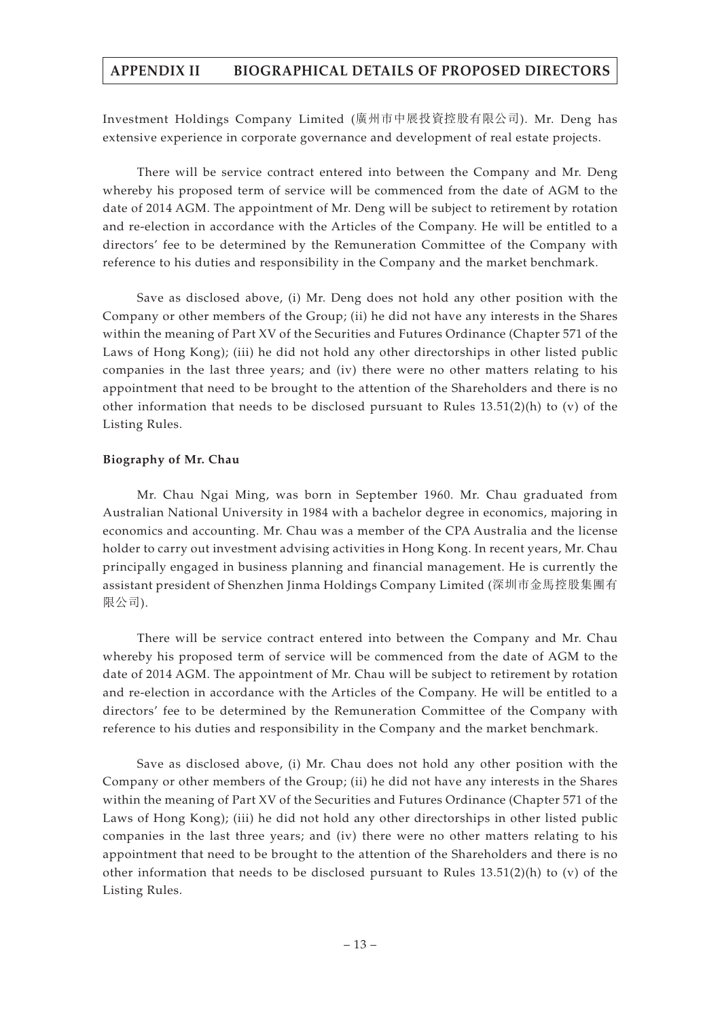Investment Holdings Company Limited (廣州市中展投資控股有限公司). Mr. Deng has extensive experience in corporate governance and development of real estate projects.

There will be service contract entered into between the Company and Mr. Deng whereby his proposed term of service will be commenced from the date of AGM to the date of 2014 AGM. The appointment of Mr. Deng will be subject to retirement by rotation and re-election in accordance with the Articles of the Company. He will be entitled to a directors' fee to be determined by the Remuneration Committee of the Company with reference to his duties and responsibility in the Company and the market benchmark.

Save as disclosed above, (i) Mr. Deng does not hold any other position with the Company or other members of the Group; (ii) he did not have any interests in the Shares within the meaning of Part XV of the Securities and Futures Ordinance (Chapter 571 of the Laws of Hong Kong); (iii) he did not hold any other directorships in other listed public companies in the last three years; and (iv) there were no other matters relating to his appointment that need to be brought to the attention of the Shareholders and there is no other information that needs to be disclosed pursuant to Rules  $13.51(2)(h)$  to (v) of the Listing Rules.

### **Biography of Mr. Chau**

Mr. Chau Ngai Ming, was born in September 1960. Mr. Chau graduated from Australian National University in 1984 with a bachelor degree in economics, majoring in economics and accounting. Mr. Chau was a member of the CPA Australia and the license holder to carry out investment advising activities in Hong Kong. In recent years, Mr. Chau principally engaged in business planning and financial management. He is currently the assistant president of Shenzhen Jinma Holdings Company Limited (深圳市金馬控股集團有 限公司).

There will be service contract entered into between the Company and Mr. Chau whereby his proposed term of service will be commenced from the date of AGM to the date of 2014 AGM. The appointment of Mr. Chau will be subject to retirement by rotation and re-election in accordance with the Articles of the Company. He will be entitled to a directors' fee to be determined by the Remuneration Committee of the Company with reference to his duties and responsibility in the Company and the market benchmark.

Save as disclosed above, (i) Mr. Chau does not hold any other position with the Company or other members of the Group; (ii) he did not have any interests in the Shares within the meaning of Part XV of the Securities and Futures Ordinance (Chapter 571 of the Laws of Hong Kong); (iii) he did not hold any other directorships in other listed public companies in the last three years; and (iv) there were no other matters relating to his appointment that need to be brought to the attention of the Shareholders and there is no other information that needs to be disclosed pursuant to Rules  $13.51(2)(h)$  to (v) of the Listing Rules.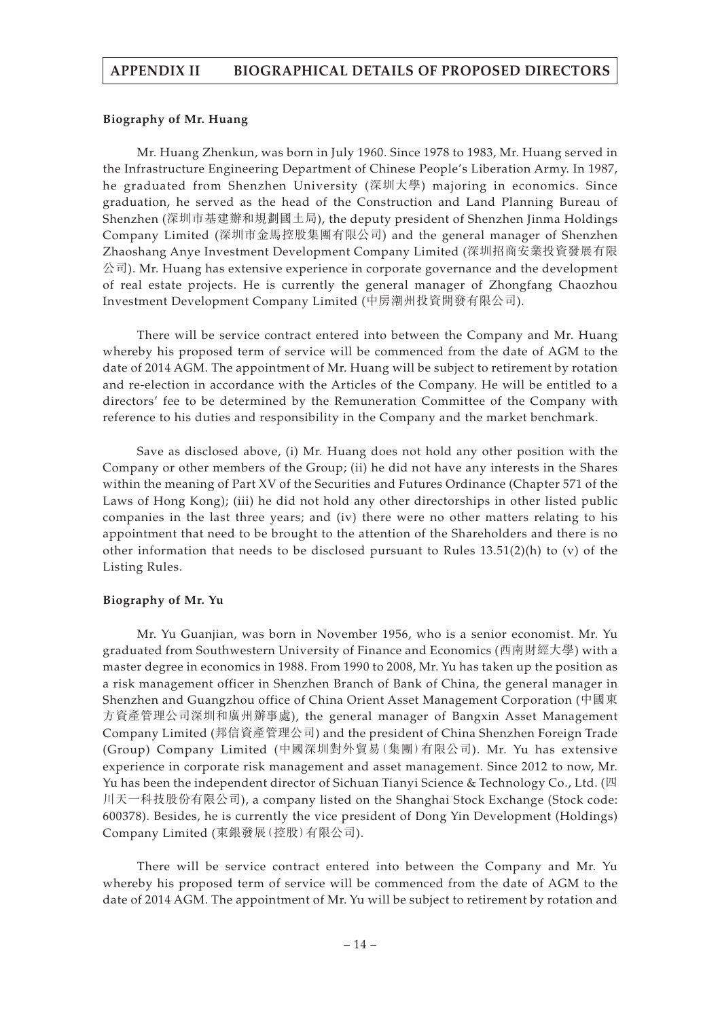#### **Biography of Mr. Huang**

Mr. Huang Zhenkun, was born in July 1960. Since 1978 to 1983, Mr. Huang served in the Infrastructure Engineering Department of Chinese People's Liberation Army. In 1987, he graduated from Shenzhen University (深圳大學) majoring in economics. Since graduation, he served as the head of the Construction and Land Planning Bureau of Shenzhen (深圳市基建辦和規劃國土局), the deputy president of Shenzhen Jinma Holdings Company Limited (深圳市金馬控股集團有限公司) and the general manager of Shenzhen Zhaoshang Anye Investment Development Company Limited (深圳招商安業投資發展有限 公司). Mr. Huang has extensive experience in corporate governance and the development of real estate projects. He is currently the general manager of Zhongfang Chaozhou Investment Development Company Limited (中房潮州投資開發有限公司).

There will be service contract entered into between the Company and Mr. Huang whereby his proposed term of service will be commenced from the date of AGM to the date of 2014 AGM. The appointment of Mr. Huang will be subject to retirement by rotation and re-election in accordance with the Articles of the Company. He will be entitled to a directors' fee to be determined by the Remuneration Committee of the Company with reference to his duties and responsibility in the Company and the market benchmark.

Save as disclosed above, (i) Mr. Huang does not hold any other position with the Company or other members of the Group; (ii) he did not have any interests in the Shares within the meaning of Part XV of the Securities and Futures Ordinance (Chapter 571 of the Laws of Hong Kong); (iii) he did not hold any other directorships in other listed public companies in the last three years; and (iv) there were no other matters relating to his appointment that need to be brought to the attention of the Shareholders and there is no other information that needs to be disclosed pursuant to Rules  $13.51(2)(h)$  to (v) of the Listing Rules.

#### **Biography of Mr. Yu**

Mr. Yu Guanjian, was born in November 1956, who is a senior economist. Mr. Yu graduated from Southwestern University of Finance and Economics (西南財經大學) with a master degree in economics in 1988. From 1990 to 2008, Mr. Yu has taken up the position as a risk management officer in Shenzhen Branch of Bank of China, the general manager in Shenzhen and Guangzhou office of China Orient Asset Management Corporation (中國東 方資產管理公司深圳和廣州辦事處), the general manager of Bangxin Asset Management Company Limited (邦信資產管理公司) and the president of China Shenzhen Foreign Trade (Group) Company Limited (中國深圳對外貿易(集團)有限公司). Mr. Yu has extensive experience in corporate risk management and asset management. Since 2012 to now, Mr. Yu has been the independent director of Sichuan Tianyi Science & Technology Co., Ltd. (四 川天一科技股份有限公司), a company listed on the Shanghai Stock Exchange (Stock code: 600378). Besides, he is currently the vice president of Dong Yin Development (Holdings) Company Limited (東銀發展(控股)有限公司).

There will be service contract entered into between the Company and Mr. Yu whereby his proposed term of service will be commenced from the date of AGM to the date of 2014 AGM. The appointment of Mr. Yu will be subject to retirement by rotation and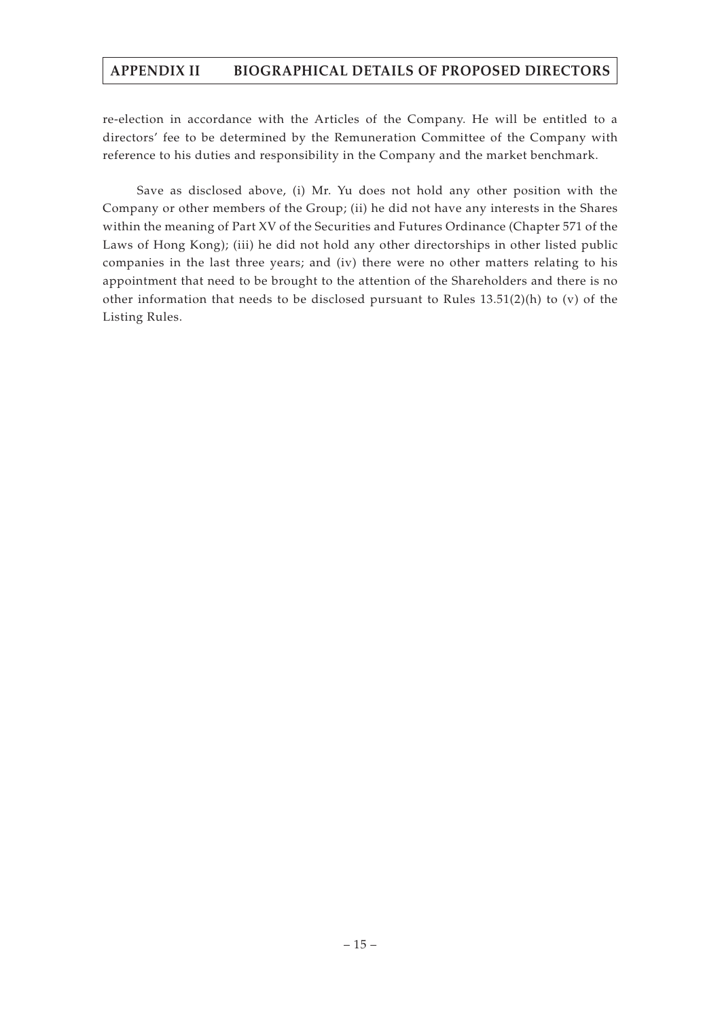re-election in accordance with the Articles of the Company. He will be entitled to a directors' fee to be determined by the Remuneration Committee of the Company with reference to his duties and responsibility in the Company and the market benchmark.

Save as disclosed above, (i) Mr. Yu does not hold any other position with the Company or other members of the Group; (ii) he did not have any interests in the Shares within the meaning of Part XV of the Securities and Futures Ordinance (Chapter 571 of the Laws of Hong Kong); (iii) he did not hold any other directorships in other listed public companies in the last three years; and (iv) there were no other matters relating to his appointment that need to be brought to the attention of the Shareholders and there is no other information that needs to be disclosed pursuant to Rules  $13.51(2)(h)$  to (v) of the Listing Rules.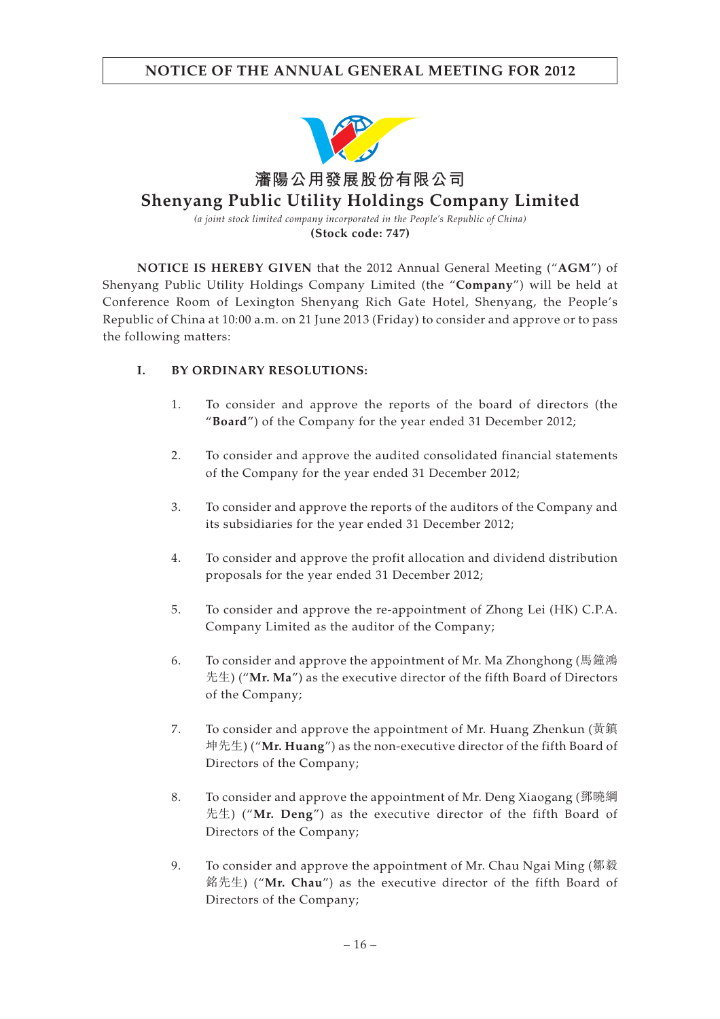

**(Stock code: 747)**

**NOTICE IS HEREBY GIVEN** that the 2012 Annual General Meeting ("**AGM**") of Shenyang Public Utility Holdings Company Limited (the "**Company**") will be held at Conference Room of Lexington Shenyang Rich Gate Hotel, Shenyang, the People's Republic of China at 10:00 a.m. on 21 June 2013 (Friday) to consider and approve or to pass the following matters:

### **I. BY ORDINARY RESOLUTIONS:**

- 1. To consider and approve the reports of the board of directors (the "**Board**") of the Company for the year ended 31 December 2012;
- 2. To consider and approve the audited consolidated financial statements of the Company for the year ended 31 December 2012;
- 3. To consider and approve the reports of the auditors of the Company and its subsidiaries for the year ended 31 December 2012;
- 4. To consider and approve the profit allocation and dividend distribution proposals for the year ended 31 December 2012;
- 5. To consider and approve the re-appointment of Zhong Lei (HK) C.P.A. Company Limited as the auditor of the Company;
- 6. To consider and approve the appointment of Mr. Ma Zhonghong (馬鐘鴻 先生) ("**Mr. Ma**") as the executive director of the fifth Board of Directors of the Company;
- 7. To consider and approve the appointment of Mr. Huang Zhenkun (黃鎮 坤先生) ("**Mr. Huang**") as the non-executive director of the fifth Board of Directors of the Company;
- 8. To consider and approve the appointment of Mr. Deng Xiaogang (鄧曉綱 先生) ("**Mr. Deng**") as the executive director of the fifth Board of Directors of the Company;
- 9. To consider and approve the appointment of Mr. Chau Ngai Ming (鄒毅 銘先生) ("**Mr. Chau**") as the executive director of the fifth Board of Directors of the Company;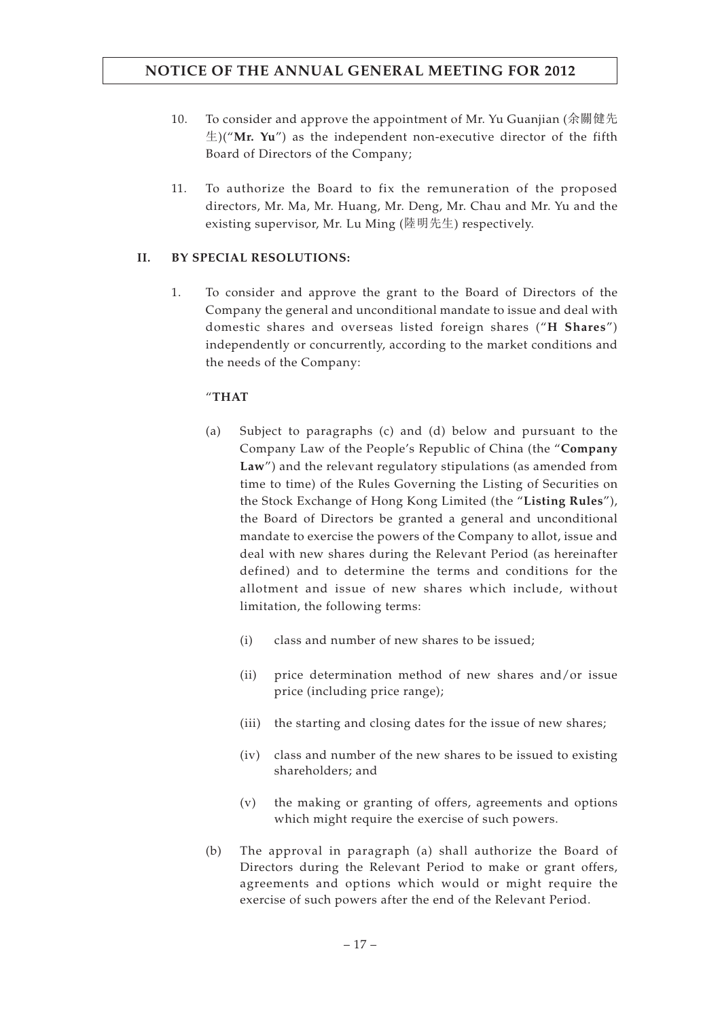- 10. To consider and approve the appointment of Mr. Yu Guanjian (余關健先 生)("**Mr. Yu**") as the independent non-executive director of the fifth Board of Directors of the Company;
- 11. To authorize the Board to fix the remuneration of the proposed directors, Mr. Ma, Mr. Huang, Mr. Deng, Mr. Chau and Mr. Yu and the existing supervisor, Mr. Lu Ming (陸明先生) respectively.

### **II. BY SPECIAL RESOLUTIONS:**

1. To consider and approve the grant to the Board of Directors of the Company the general and unconditional mandate to issue and deal with domestic shares and overseas listed foreign shares ("**H Shares**") independently or concurrently, according to the market conditions and the needs of the Company:

### "**THAT**

- (a) Subject to paragraphs (c) and (d) below and pursuant to the Company Law of the People's Republic of China (the "**Company Law**") and the relevant regulatory stipulations (as amended from time to time) of the Rules Governing the Listing of Securities on the Stock Exchange of Hong Kong Limited (the "**Listing Rules**"), the Board of Directors be granted a general and unconditional mandate to exercise the powers of the Company to allot, issue and deal with new shares during the Relevant Period (as hereinafter defined) and to determine the terms and conditions for the allotment and issue of new shares which include, without limitation, the following terms:
	- (i) class and number of new shares to be issued;
	- (ii) price determination method of new shares and/or issue price (including price range);
	- (iii) the starting and closing dates for the issue of new shares;
	- (iv) class and number of the new shares to be issued to existing shareholders; and
	- (v) the making or granting of offers, agreements and options which might require the exercise of such powers.
- (b) The approval in paragraph (a) shall authorize the Board of Directors during the Relevant Period to make or grant offers, agreements and options which would or might require the exercise of such powers after the end of the Relevant Period.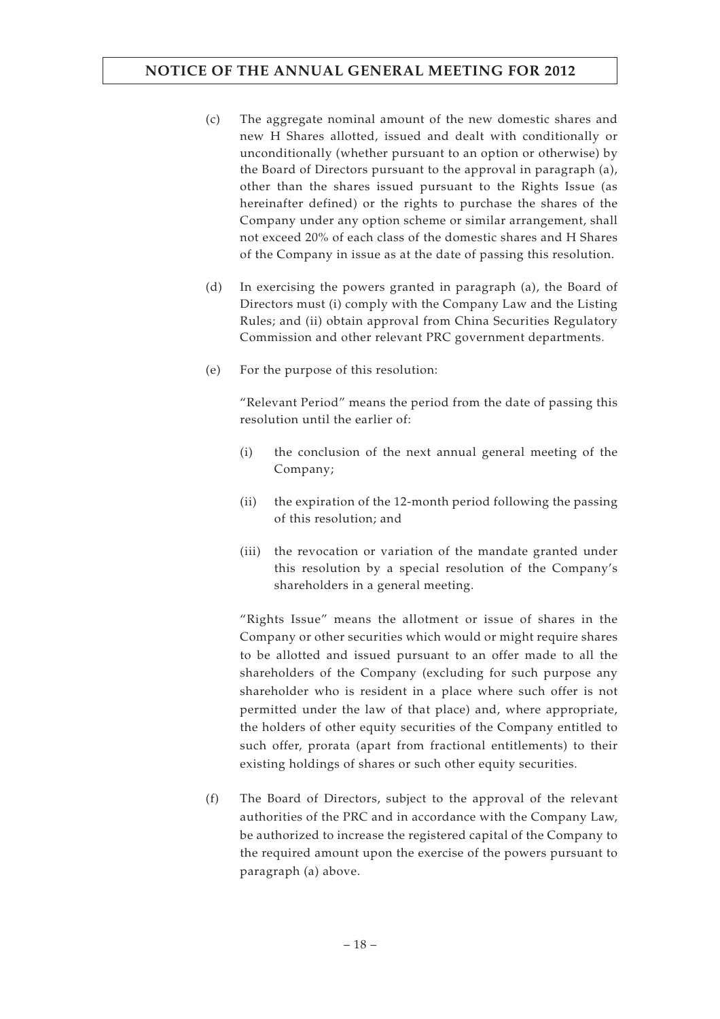- (c) The aggregate nominal amount of the new domestic shares and new H Shares allotted, issued and dealt with conditionally or unconditionally (whether pursuant to an option or otherwise) by the Board of Directors pursuant to the approval in paragraph (a), other than the shares issued pursuant to the Rights Issue (as hereinafter defined) or the rights to purchase the shares of the Company under any option scheme or similar arrangement, shall not exceed 20% of each class of the domestic shares and H Shares of the Company in issue as at the date of passing this resolution.
- (d) In exercising the powers granted in paragraph (a), the Board of Directors must (i) comply with the Company Law and the Listing Rules; and (ii) obtain approval from China Securities Regulatory Commission and other relevant PRC government departments.
- (e) For the purpose of this resolution:

"Relevant Period" means the period from the date of passing this resolution until the earlier of:

- (i) the conclusion of the next annual general meeting of the Company;
- (ii) the expiration of the 12-month period following the passing of this resolution; and
- (iii) the revocation or variation of the mandate granted under this resolution by a special resolution of the Company's shareholders in a general meeting.

"Rights Issue" means the allotment or issue of shares in the Company or other securities which would or might require shares to be allotted and issued pursuant to an offer made to all the shareholders of the Company (excluding for such purpose any shareholder who is resident in a place where such offer is not permitted under the law of that place) and, where appropriate, the holders of other equity securities of the Company entitled to such offer, prorata (apart from fractional entitlements) to their existing holdings of shares or such other equity securities.

(f) The Board of Directors, subject to the approval of the relevant authorities of the PRC and in accordance with the Company Law, be authorized to increase the registered capital of the Company to the required amount upon the exercise of the powers pursuant to paragraph (a) above.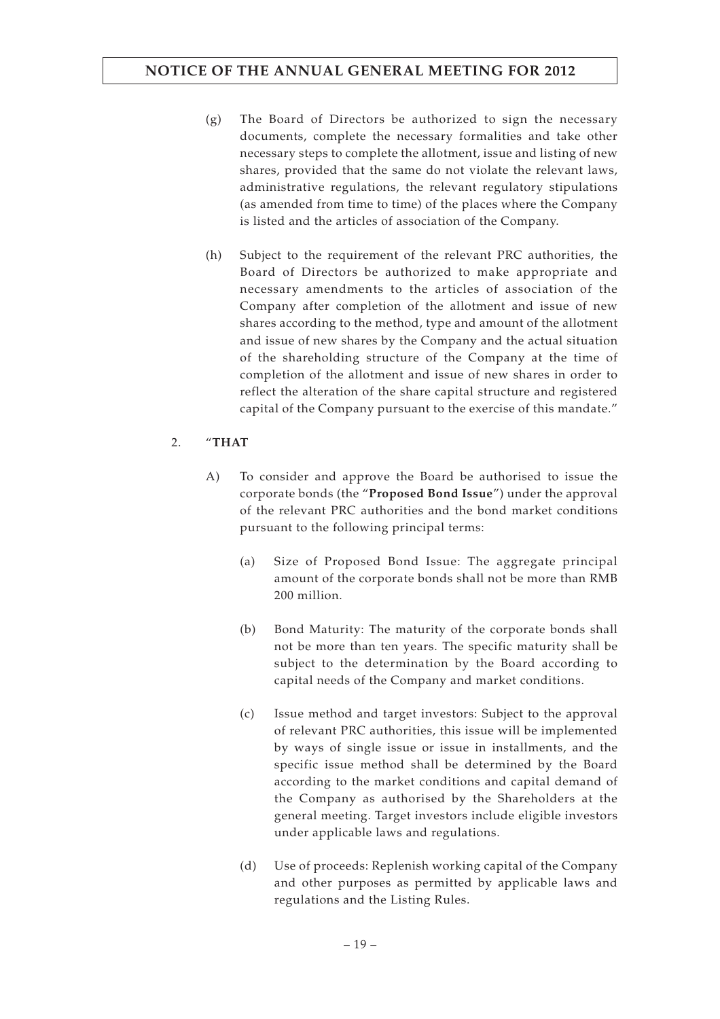- (g) The Board of Directors be authorized to sign the necessary documents, complete the necessary formalities and take other necessary steps to complete the allotment, issue and listing of new shares, provided that the same do not violate the relevant laws, administrative regulations, the relevant regulatory stipulations (as amended from time to time) of the places where the Company is listed and the articles of association of the Company.
- (h) Subject to the requirement of the relevant PRC authorities, the Board of Directors be authorized to make appropriate and necessary amendments to the articles of association of the Company after completion of the allotment and issue of new shares according to the method, type and amount of the allotment and issue of new shares by the Company and the actual situation of the shareholding structure of the Company at the time of completion of the allotment and issue of new shares in order to reflect the alteration of the share capital structure and registered capital of the Company pursuant to the exercise of this mandate."

### 2. "**THAT**

- A) To consider and approve the Board be authorised to issue the corporate bonds (the "**Proposed Bond Issue**") under the approval of the relevant PRC authorities and the bond market conditions pursuant to the following principal terms:
	- (a) Size of Proposed Bond Issue: The aggregate principal amount of the corporate bonds shall not be more than RMB 200 million.
	- (b) Bond Maturity: The maturity of the corporate bonds shall not be more than ten years. The specific maturity shall be subject to the determination by the Board according to capital needs of the Company and market conditions.
	- (c) Issue method and target investors: Subject to the approval of relevant PRC authorities, this issue will be implemented by ways of single issue or issue in installments, and the specific issue method shall be determined by the Board according to the market conditions and capital demand of the Company as authorised by the Shareholders at the general meeting. Target investors include eligible investors under applicable laws and regulations.
	- (d) Use of proceeds: Replenish working capital of the Company and other purposes as permitted by applicable laws and regulations and the Listing Rules.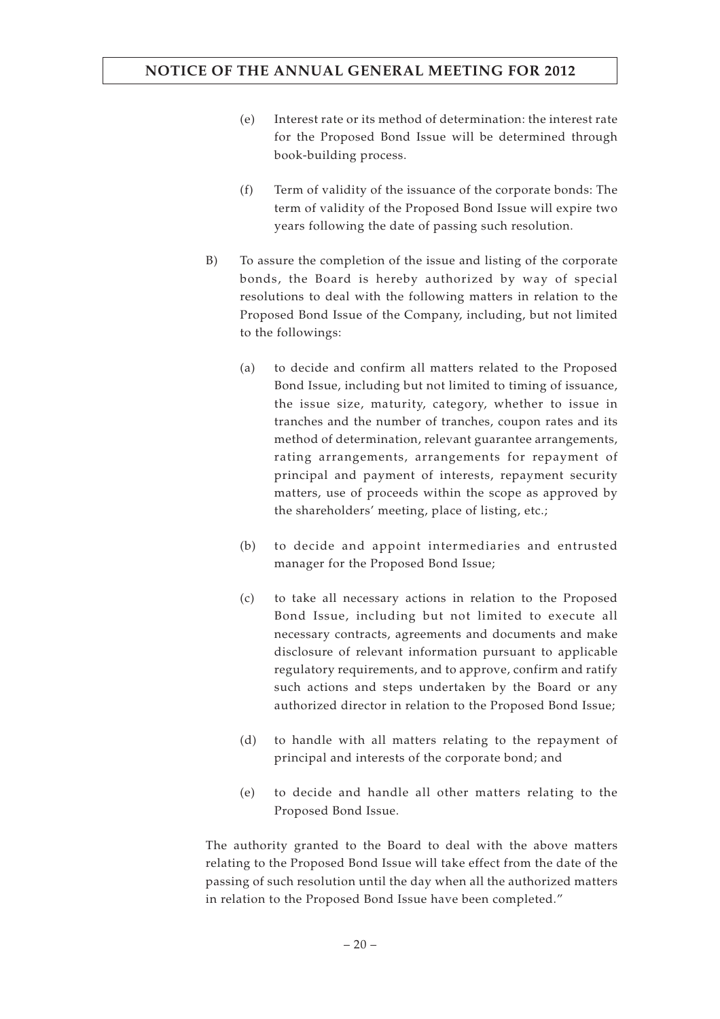- (e) Interest rate or its method of determination: the interest rate for the Proposed Bond Issue will be determined through book-building process.
- (f) Term of validity of the issuance of the corporate bonds: The term of validity of the Proposed Bond Issue will expire two years following the date of passing such resolution.
- B) To assure the completion of the issue and listing of the corporate bonds, the Board is hereby authorized by way of special resolutions to deal with the following matters in relation to the Proposed Bond Issue of the Company, including, but not limited to the followings:
	- (a) to decide and confirm all matters related to the Proposed Bond Issue, including but not limited to timing of issuance, the issue size, maturity, category, whether to issue in tranches and the number of tranches, coupon rates and its method of determination, relevant guarantee arrangements, rating arrangements, arrangements for repayment of principal and payment of interests, repayment security matters, use of proceeds within the scope as approved by the shareholders' meeting, place of listing, etc.;
	- (b) to decide and appoint intermediaries and entrusted manager for the Proposed Bond Issue;
	- (c) to take all necessary actions in relation to the Proposed Bond Issue, including but not limited to execute all necessary contracts, agreements and documents and make disclosure of relevant information pursuant to applicable regulatory requirements, and to approve, confirm and ratify such actions and steps undertaken by the Board or any authorized director in relation to the Proposed Bond Issue;
	- (d) to handle with all matters relating to the repayment of principal and interests of the corporate bond; and
	- (e) to decide and handle all other matters relating to the Proposed Bond Issue.

The authority granted to the Board to deal with the above matters relating to the Proposed Bond Issue will take effect from the date of the passing of such resolution until the day when all the authorized matters in relation to the Proposed Bond Issue have been completed."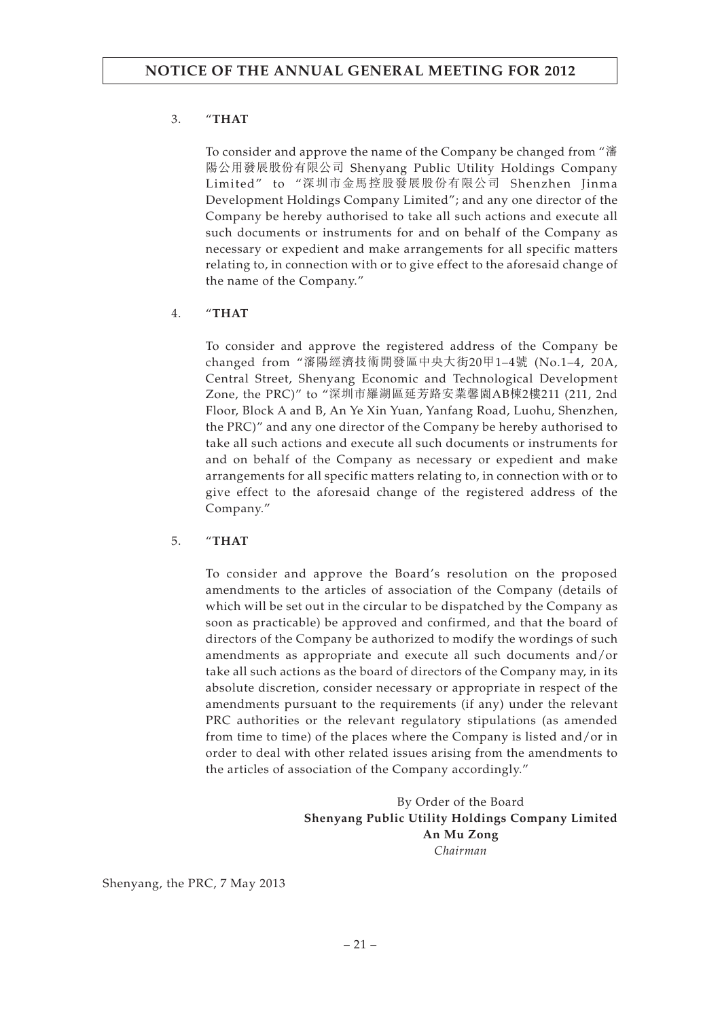### 3. "**THAT**

To consider and approve the name of the Company be changed from "瀋 陽公用發展股份有限公司 Shenyang Public Utility Holdings Company Limited" to "深圳市金馬控股發展股份有限公司 Shenzhen Jinma Development Holdings Company Limited"; and any one director of the Company be hereby authorised to take all such actions and execute all such documents or instruments for and on behalf of the Company as necessary or expedient and make arrangements for all specific matters relating to, in connection with or to give effect to the aforesaid change of the name of the Company."

### 4. "**THAT**

To consider and approve the registered address of the Company be changed from "瀋陽經濟技術開發區中央大街20甲1–4號 (No.1–4, 20A, Central Street, Shenyang Economic and Technological Development Zone, the PRC)" to "深圳市羅湖區延芳路安業馨園AB棟2樓211 (211, 2nd Floor, Block A and B, An Ye Xin Yuan, Yanfang Road, Luohu, Shenzhen, the PRC)" and any one director of the Company be hereby authorised to take all such actions and execute all such documents or instruments for and on behalf of the Company as necessary or expedient and make arrangements for all specific matters relating to, in connection with or to give effect to the aforesaid change of the registered address of the Company."

### 5. "**THAT**

To consider and approve the Board's resolution on the proposed amendments to the articles of association of the Company (details of which will be set out in the circular to be dispatched by the Company as soon as practicable) be approved and confirmed, and that the board of directors of the Company be authorized to modify the wordings of such amendments as appropriate and execute all such documents and/or take all such actions as the board of directors of the Company may, in its absolute discretion, consider necessary or appropriate in respect of the amendments pursuant to the requirements (if any) under the relevant PRC authorities or the relevant regulatory stipulations (as amended from time to time) of the places where the Company is listed and/or in order to deal with other related issues arising from the amendments to the articles of association of the Company accordingly."

> By Order of the Board **Shenyang Public Utility Holdings Company Limited An Mu Zong** *Chairman*

Shenyang, the PRC, 7 May 2013